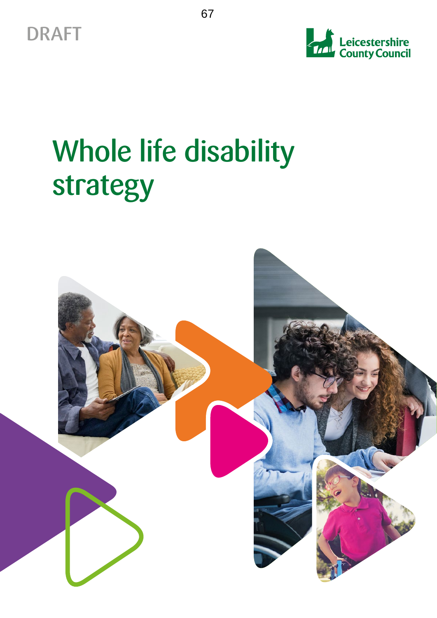



# Whole life disability strategy

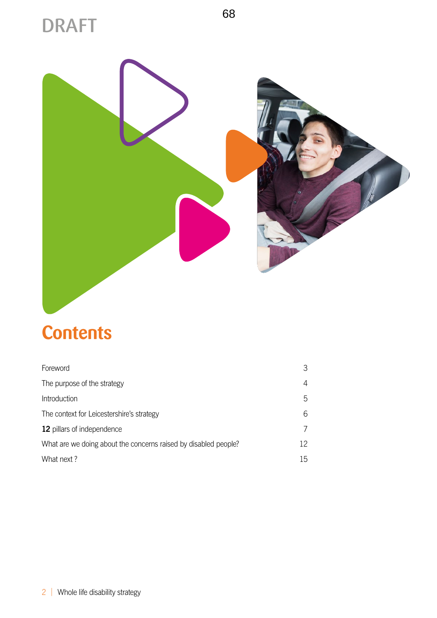## DRAFT



## **Contents**

| Foreword                                                        |    |
|-----------------------------------------------------------------|----|
| The purpose of the strategy                                     | 4  |
| Introduction                                                    | 5  |
| The context for Leicestershire's strategy                       | 6  |
| 12 pillars of independence                                      |    |
| What are we doing about the concerns raised by disabled people? | 12 |
| What next?                                                      | 15 |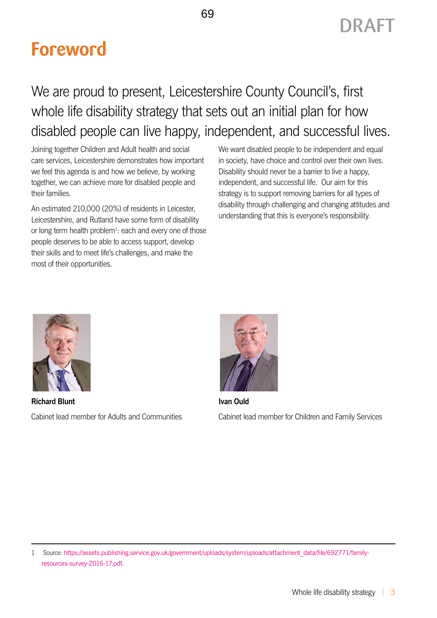## <span id="page-2-0"></span>**Foreword**

### We are proud to present, Leicestershire County Council's, first whole life disability strategy that sets out an initial plan for how disabled people can live happy, independent, and successful lives.

Joining together Children and Adult health and social care services, Leicestershire demonstrates how important we feel this agenda is and how we believe, by working together, we can achieve more for disabled people and their families.

An estimated 210,000 (20%) of residents in Leicester, Leicestershire, and Rutland have some form of disability or long term health problem<sup>1</sup>: each and every one of those people deserves to be able to access support, develop their skills and to meet life's challenges, and make the most of their opportunities.

We want disabled people to be independent and equal in society, have choice and control over their own lives. Disability should never be a barrier to live a happy, independent, and successful life. Our aim for this strategy is to support removing barriers for all types of disability through challenging and changing attitudes and understanding that this is everyone's responsibility.



**Richard Blunt** Cabinet lead member for Adults and Communities



**Ivan Ould** Cabinet lead member for Children and Family Services

1 Source: [https://assets.publishing.service.gov.uk/government/uploads/system/uploads/attachment\\_data/file/692771/family](https://assets.publishing.service.gov.uk/government/uploads/system/uploads/attachment_data/file/692771/family-resources-survey-2016-17.pdf)[resources-survey-2016-17.pdf.](https://assets.publishing.service.gov.uk/government/uploads/system/uploads/attachment_data/file/692771/family-resources-survey-2016-17.pdf)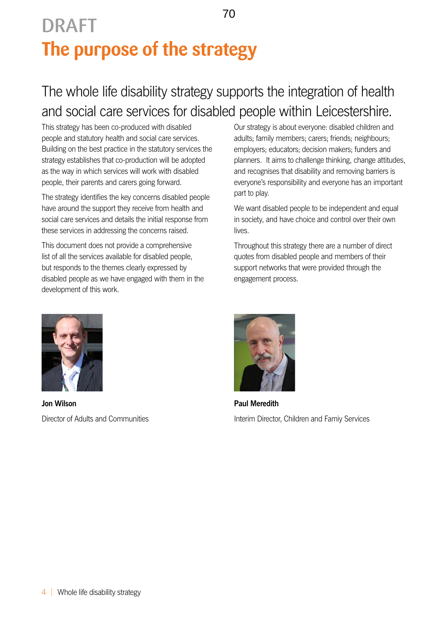## <span id="page-3-0"></span>**The purpose of the strategy**  DRAFT

### The whole life disability strategy supports the integration of health and social care services for disabled people within Leicestershire.

This strategy has been co-produced with disabled people and statutory health and social care services. Building on the best practice in the statutory services the strategy establishes that co-production will be adopted as the way in which services will work with disabled people, their parents and carers going forward.

The strategy identifies the key concerns disabled people have around the support they receive from health and social care services and details the initial response from these services in addressing the concerns raised.

This document does not provide a comprehensive list of all the services available for disabled people, but responds to the themes clearly expressed by disabled people as we have engaged with them in the development of this work.

Our strategy is about everyone: disabled children and adults; family members; carers; friends; neighbours; employers; educators; decision makers; funders and planners. It aims to challenge thinking, change attitudes, and recognises that disability and removing barriers is everyone's responsibility and everyone has an important part to play.

We want disabled people to be independent and equal in society, and have choice and control over their own **lives** 

Throughout this strategy there are a number of direct quotes from disabled people and members of their support networks that were provided through the engagement process.



**Jon Wilson** Director of Adults and Communities



**Paul Meredith** Interim Director, Children and Famiy Services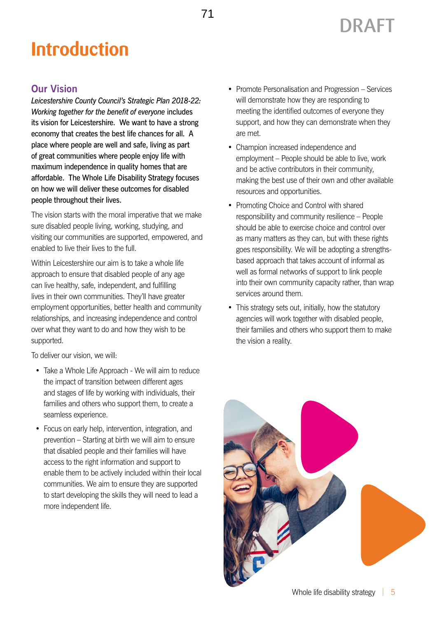## <span id="page-4-0"></span>**Introduction**

#### **Our Vision**

*Leicestershire County Council's Strategic Plan 2018-22: Working together for the benefit of everyone* includes its vision for Leicestershire. We want to have a strong economy that creates the best life chances for all. A place where people are well and safe, living as part of great communities where people enjoy life with maximum independence in quality homes that are affordable. The Whole Life Disability Strategy focuses on how we will deliver these outcomes for disabled people throughout their lives.

The vision starts with the moral imperative that we make sure disabled people living, working, studying, and visiting our communities are supported, empowered, and enabled to live their lives to the full.

Within Leicestershire our aim is to take a whole life approach to ensure that disabled people of any age can live healthy, safe, independent, and fulfilling lives in their own communities. They'll have greater employment opportunities, better health and community relationships, and increasing independence and control over what they want to do and how they wish to be supported.

To deliver our vision, we will:

- Take a Whole Life Approach We will aim to reduce the impact of transition between different ages and stages of life by working with individuals, their families and others who support them, to create a seamless experience.
- Focus on early help, intervention, integration, and prevention – Starting at birth we will aim to ensure that disabled people and their families will have access to the right information and support to enable them to be actively included within their local communities. We aim to ensure they are supported to start developing the skills they will need to lead a more independent life.

• Promote Personalisation and Progression – Services will demonstrate how they are responding to meeting the identified outcomes of everyone they support, and how they can demonstrate when they are met.

DRAFT

- Champion increased independence and employment – People should be able to live, work and be active contributors in their community, making the best use of their own and other available resources and opportunities.
- Promoting Choice and Control with shared responsibility and community resilience – People should be able to exercise choice and control over as many matters as they can, but with these rights goes responsibility. We will be adopting a strengthsbased approach that takes account of informal as well as formal networks of support to link people into their own community capacity rather, than wrap services around them.
- This strategy sets out, initially, how the statutory agencies will work together with disabled people, their families and others who support them to make the vision a reality.

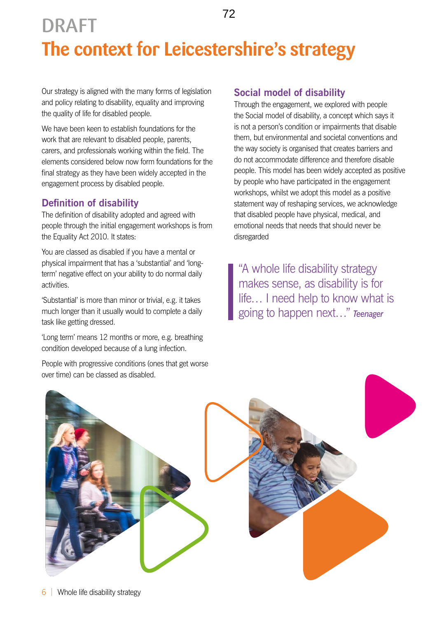### <span id="page-5-0"></span>**The context for Leicestershire's strategy** DRAFT 72

Our strategy is aligned with the many forms of legislation and policy relating to disability, equality and improving the quality of life for disabled people.

We have been keen to establish foundations for the work that are relevant to disabled people, parents, carers, and professionals working within the field. The elements considered below now form foundations for the final strategy as they have been widely accepted in the engagement process by disabled people.

#### **Definition of disability**

The definition of disability adopted and agreed with people through the initial engagement workshops is from the Equality Act 2010. It states:

You are classed as disabled if you have a mental or physical impairment that has a 'substantial' and 'longterm' negative effect on your ability to do normal daily activities.

'Substantial' is more than minor or trivial, e.g. it takes much longer than it usually would to complete a daily task like getting dressed.

'Long term' means 12 months or more, e.g. breathing condition developed because of a lung infection.

People with progressive conditions (ones that get worse over time) can be classed as disabled.

#### **Social model of disability**

Through the engagement, we explored with people the Social model of disability, a concept which says it is not a person's condition or impairments that disable them, but environmental and societal conventions and the way society is organised that creates barriers and do not accommodate difference and therefore disable people. This model has been widely accepted as positive by people who have participated in the engagement workshops, whilst we adopt this model as a positive statement way of reshaping services, we acknowledge that disabled people have physical, medical, and emotional needs that needs that should never be disregarded

"A whole life disability strategy makes sense, as disability is for life… I need help to know what is going to happen next…" *Teenager*

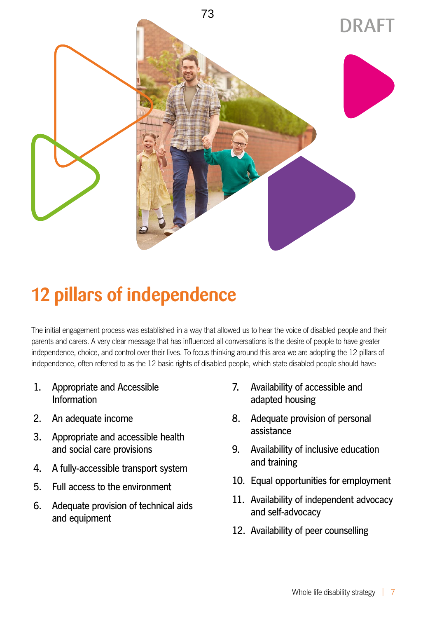<span id="page-6-0"></span>

## **12 pillars of independence**

The initial engagement process was established in a way that allowed us to hear the voice of disabled people and their parents and carers. A very clear message that has influenced all conversations is the desire of people to have greater independence, choice, and control over their lives. To focus thinking around this area we are adopting the 12 pillars of independence, often referred to as the 12 basic rights of disabled people, which state disabled people should have:

- 1. Appropriate and Accessible Information
- 2. An adequate income
- 3. Appropriate and accessible health and social care provisions
- 4. A fully-accessible transport system
- 5. Full access to the environment
- 6. Adequate provision of technical aids and equipment
- 7. Availability of accessible and adapted housing
- 8. Adequate provision of personal assistance
- 9. Availability of inclusive education and training
- 10. Equal opportunities for employment
- 11. Availability of independent advocacy and self-advocacy
- 12. Availability of peer counselling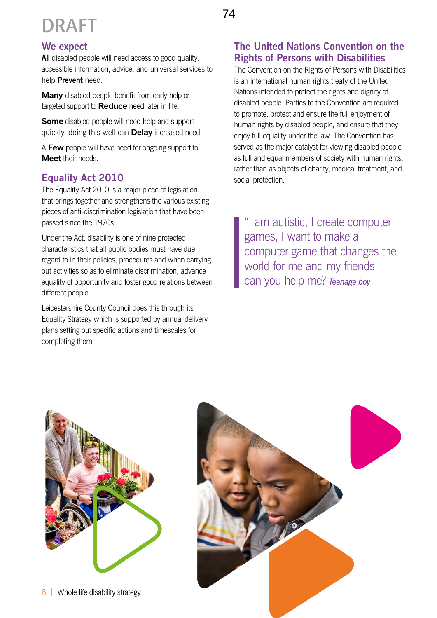## DRAFT

### 74

#### **We expect**

**All** disabled people will need access to good quality, accessible information, advice, and universal services to help **Prevent** need.

**Many** disabled people benefit from early help or targeted support to **Reduce** need later in life.

**Some** disabled people will need help and support quickly, doing this well can **Delay** increased need.

A **Few** people will have need for ongoing support to **Meet** their needs.

#### **Equality Act 2010**

The Equality Act 2010 is a major piece of legislation that brings together and strengthens the various existing pieces of anti-discrimination legislation that have been passed since the 1970s.

Under the Act, disability is one of nine protected characteristics that all public bodies must have due regard to in their policies, procedures and when carrying out activities so as to eliminate discrimination, advance equality of opportunity and foster good relations between different people.

Leicestershire County Council does this through its Equality Strategy which is supported by annual delivery plans setting out specific actions and timescales for completing them.

#### **The United Nations Convention on the Rights of Persons with Disabilities**

The Convention on the Rights of Persons with Disabilities is an international human rights treaty of the United Nations intended to protect the rights and dignity of disabled people. Parties to the Convention are required to promote, protect and ensure the full enjoyment of human rights by disabled people, and ensure that they enjoy full equality under the law. The Convention has served as the major catalyst for viewing disabled people as full and equal members of society with human rights, rather than as objects of charity, medical treatment, and social protection.

"I am autistic, I create computer games, I want to make a computer game that changes the world for me and my friends – can you help me? *Teenage boy* 



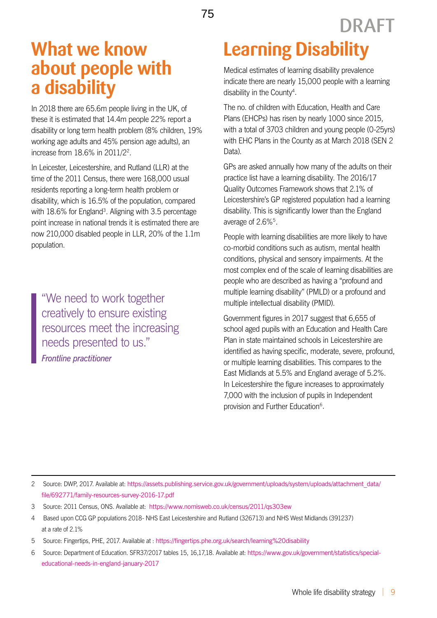### **What we know about people with a disability**

In 2018 there are 65.6m people living in the UK, of these it is estimated that 14.4m people 22% report a disability or long term health problem (8% children, 19% working age adults and 45% pension age adults), an increase from 18.6% in 2011/22 .

In Leicester, Leicestershire, and Rutland (LLR) at the time of the 2011 Census, there were 168,000 usual residents reporting a long-term health problem or disability, which is 16.5% of the population, compared with 18.6% for England<sup>3</sup>. Aligning with 3.5 percentage point increase in national trends it is estimated there are now 210,000 disabled people in LLR, 20% of the 1.1m population.

"We need to work together creatively to ensure existing resources meet the increasing needs presented to us." *Frontline practitioner*

# **Learning Disability**

Medical estimates of learning disability prevalence indicate there are nearly 15,000 people with a learning disability in the County<sup>4</sup>.

DRAFT

The no. of children with Education, Health and Care Plans (EHCPs) has risen by nearly 1000 since 2015, with a total of 3703 children and young people (0-25yrs) with EHC Plans in the County as at March 2018 (SEN 2 Data).

GPs are asked annually how many of the adults on their practice list have a learning disability. The 2016/17 Quality Outcomes Framework shows that 2.1% of Leicestershire's GP registered population had a learning disability. This is significantly lower than the England average of 2.6%5.

People with learning disabilities are more likely to have co-morbid conditions such as autism, mental health conditions, physical and sensory impairments. At the most complex end of the scale of learning disabilities are people who are described as having a "profound and multiple learning disability" (PMLD) or a profound and multiple intellectual disability (PMID).

Government figures in 2017 suggest that 6,655 of school aged pupils with an Education and Health Care Plan in state maintained schools in Leicestershire are identified as having specific, moderate, severe, profound, or multiple learning disabilities. This compares to the East Midlands at 5.5% and England average of 5.2%. In Leicestershire the figure increases to approximately 7,000 with the inclusion of pupils in Independent provision and Further Education6.

- 4 Based upon CCG GP populations 2018- NHS East Leicestershire and Rutland (326713) and NHS West Midlands (391237) at a rate of 2.1%
- 5 Source: Fingertips, PHE, 2017. Available at : <https://fingertips.phe.org.uk/search/learning%20disability>
- 6 Source: Department of Education. SFR37/2017 tables 15, 16,17,18. Available at: [https://www.gov.uk/government/statistics/special](https://www.gov.uk/government/statistics/special-educational-needs-in-england-january-2017)[educational-needs-in-england-january-2017](https://www.gov.uk/government/statistics/special-educational-needs-in-england-january-2017)

<sup>2</sup> Source: DWP, 2017. Available at: [https://assets.publishing.service.gov.uk/government/uploads/system/uploads/attachment\\_data/](https://assets.publishing.service.gov.uk/government/uploads/system/uploads/attachment_data/file/692771/family-resources-survey-2016-17.pdf) [file/692771/family-resources-survey-2016-17.pdf](https://assets.publishing.service.gov.uk/government/uploads/system/uploads/attachment_data/file/692771/family-resources-survey-2016-17.pdf)

<sup>3</sup> Source: 2011 Census, ONS. Available at: https://www.nomisweb.co.uk/census/2011/qs303ew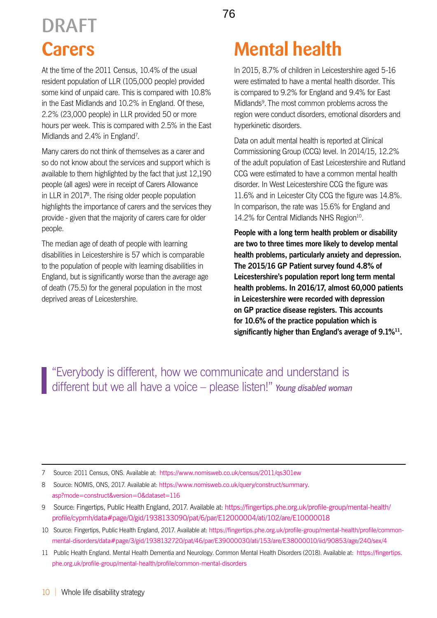## **Carers** DRAFT

At the time of the 2011 Census, 10.4% of the usual resident population of LLR (105,000 people) provided some kind of unpaid care. This is compared with 10.8% in the East Midlands and 10.2% in England. Of these, 2.2% (23,000 people) in LLR provided 50 or more hours per week. This is compared with 2.5% in the East Midlands and 2.4% in England<sup>7</sup>.

Many carers do not think of themselves as a carer and so do not know about the services and support which is available to them highlighted by the fact that just 12,190 people (all ages) were in receipt of Carers Allowance in LLR in 2017<sup>8</sup>. The rising older people population highlights the importance of carers and the services they provide - given that the majority of carers care for older people.

The median age of death of people with learning disabilities in Leicestershire is 57 which is comparable to the population of people with learning disabilities in England, but is significantly worse than the average age of death (75.5) for the general population in the most deprived areas of Leicestershire.

In 2015, 8.7% of children in Leicestershire aged 5-16 were estimated to have a mental health disorder. This is compared to 9.2% for England and 9.4% for East Midlands<sup>9</sup>. The most common problems across the region were conduct disorders, emotional disorders and hyperkinetic disorders.

Data on adult mental health is reported at Clinical Commissioning Group (CCG) level. In 2014/15, 12.2% of the adult population of East Leicestershire and Rutland CCG were estimated to have a common mental health disorder. In West Leicestershire CCG the figure was 11.6% and in Leicester City CCG the figure was 14.8%. In comparison, the rate was 15.6% for England and 14.2% for Central Midlands NHS Region<sup>10</sup>.

**People with a long term health problem or disability are two to three times more likely to develop mental health problems, particularly anxiety and depression. The 2015/16 GP Patient survey found 4.8% of Leicestershire's population report long term mental health problems. In 2016/17, almost 60,000 patients in Leicestershire were recorded with depression on GP practice disease registers. This accounts for 10.6% of the practice population which is significantly higher than England's average of 9.1%11.**

"Everybody is different, how we communicate and understand is different but we all have a voice – please listen!" *Young disabled woman*

<sup>7</sup> Source: 2011 Census, ONS. Available at: <https://www.nomisweb.co.uk/census/2011/qs301ew>

<sup>8</sup> Source: NOMIS, ONS, 2017. Available at: [https://www.nomisweb.co.uk/query/construct/summary.](https://www.nomisweb.co.uk/query/construct/summary.asp?mode=construct&version=0&dataset=116) [asp?mode=construct&version=0&dataset=116](https://www.nomisweb.co.uk/query/construct/summary.asp?mode=construct&version=0&dataset=116)

<sup>9</sup> Source: Fingertips, Public Health England, 2017. Available at: [https://fingertips.phe.org.uk/profile-group/mental-health/](https://fingertips.phe.org.uk/profile-group/mental-health/profile/cypmh/data#page/0/gid/1938133090/pat/6/par/E12000004/ati/102/are/E10000018) [profile/cypmh/data#page/0/gid/1938133090/pat/6/par/E12000004/ati/102/are/E10000018](https://fingertips.phe.org.uk/profile-group/mental-health/profile/cypmh/data#page/0/gid/1938133090/pat/6/par/E12000004/ati/102/are/E10000018)

<sup>10</sup> Source: Fingertips, Public Health England, 2017. Available at: [https://fingertips.phe.org.uk/profile-group/mental-health/profile/common](https://fingertips.phe.org.uk/profile-group/mental-health/profile/common-mental-disorders/data#page/3/gid/1938132720/pat/46/par/E39000030/ati/153/are/E38000010/iid/90853/age/240/sex/4)[mental-disorders/data#page/3/gid/1938132720/pat/46/par/E39000030/ati/153/are/E38000010/iid/90853/age/240/sex/4](https://fingertips.phe.org.uk/profile-group/mental-health/profile/common-mental-disorders/data#page/3/gid/1938132720/pat/46/par/E39000030/ati/153/are/E38000010/iid/90853/age/240/sex/4)

<sup>11</sup> Public Health England. Mental Health Dementia and Neurology. Common Mental Health Disorders (2018). Available at: [https://fingertips.](https://fingertips.phe.org.uk/profile-group/mental-health/profile/common-mental-disorders) [phe.org.uk/profile-group/mental-health/profile/common-mental-disorders](https://fingertips.phe.org.uk/profile-group/mental-health/profile/common-mental-disorders)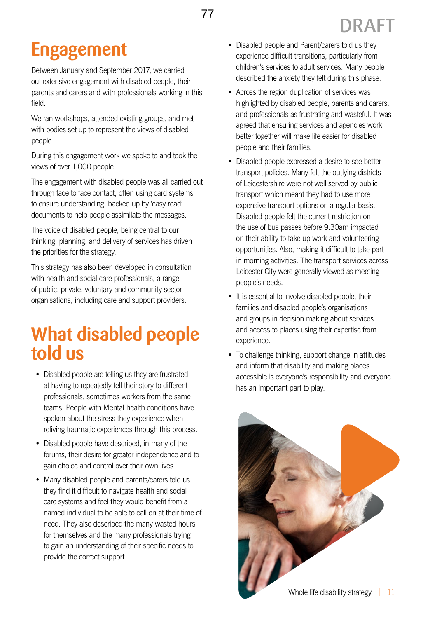## **Engagement**

Between January and September 2017, we carried out extensive engagement with disabled people, their parents and carers and with professionals working in this field.

We ran workshops, attended existing groups, and met with bodies set up to represent the views of disabled people.

During this engagement work we spoke to and took the views of over 1,000 people.

The engagement with disabled people was all carried out through face to face contact, often using card systems to ensure understanding, backed up by 'easy read' documents to help people assimilate the messages.

The voice of disabled people, being central to our thinking, planning, and delivery of services has driven the priorities for the strategy.

This strategy has also been developed in consultation with health and social care professionals, a range of public, private, voluntary and community sector organisations, including care and support providers.

### **What disabled people told us**

- Disabled people are telling us they are frustrated at having to repeatedly tell their story to different professionals, sometimes workers from the same teams. People with Mental health conditions have spoken about the stress they experience when reliving traumatic experiences through this process.
- Disabled people have described, in many of the forums, their desire for greater independence and to gain choice and control over their own lives.
- Many disabled people and parents/carers told us they find it difficult to navigate health and social care systems and feel they would benefit from a named individual to be able to call on at their time of need. They also described the many wasted hours for themselves and the many professionals trying to gain an understanding of their specific needs to provide the correct support.

• Disabled people and Parent/carers told us they experience difficult transitions, particularly from children's services to adult services. Many people described the anxiety they felt during this phase.

DRAFT

- Across the region duplication of services was highlighted by disabled people, parents and carers, and professionals as frustrating and wasteful. It was agreed that ensuring services and agencies work better together will make life easier for disabled people and their families.
- Disabled people expressed a desire to see better transport policies. Many felt the outlying districts of Leicestershire were not well served by public transport which meant they had to use more expensive transport options on a regular basis. Disabled people felt the current restriction on the use of bus passes before 9.30am impacted on their ability to take up work and volunteering opportunities. Also, making it difficult to take part in morning activities. The transport services across Leicester City were generally viewed as meeting people's needs.
- It is essential to involve disabled people, their families and disabled people's organisations and groups in decision making about services and access to places using their expertise from experience.
- To challenge thinking, support change in attitudes and inform that disability and making places accessible is everyone's responsibility and everyone has an important part to play.

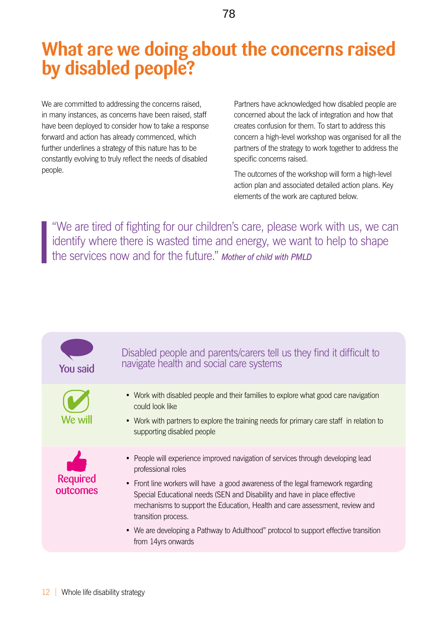### <span id="page-11-0"></span>**What are we doing about the concerns raised by disabled people?**

We are committed to addressing the concerns raised, in many instances, as concerns have been raised, staff have been deployed to consider how to take a response forward and action has already commenced, which further underlines a strategy of this nature has to be constantly evolving to truly reflect the needs of disabled people.

Partners have acknowledged how disabled people are concerned about the lack of integration and how that creates confusion for them. To start to address this concern a high-level workshop was organised for all the partners of the strategy to work together to address the specific concerns raised.

The outcomes of the workshop will form a high-level action plan and associated detailed action plans. Key elements of the work are captured below.

"We are tired of fighting for our children's care, please work with us, we can identify where there is wasted time and energy, we want to help to shape the services now and for the future." *Mother of child with PMLD*

#### You said  $\overrightarrow{O}$ We will Required outcomes Disabled people and parents/carers tell us they find it difficult to navigate health and social care systems • Work with disabled people and their families to explore what good care navigation could look like • Work with partners to explore the training needs for primary care staff in relation to supporting disabled people • People will experience improved navigation of services through developing lead professional roles • Front line workers will have a good awareness of the legal framework regarding Special Educational needs (SEN and Disability and have in place effective mechanisms to support the Education, Health and care assessment, review and transition process. • We are developing a Pathway to Adulthood" protocol to support effective transition from 14yrs onwards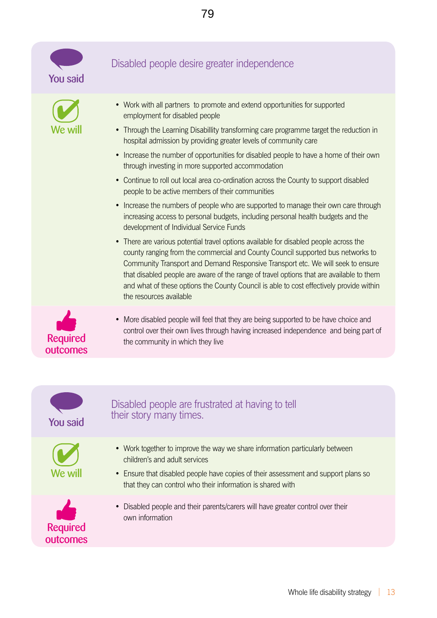





#### Disabled people desire greater independence

- Work with all partners to promote and extend opportunities for supported employment for disabled people
- Through the Learning Disabillity transforming care programme target the reduction in hospital admission by providing greater levels of community care
- Increase the number of opportunities for disabled people to have a home of their own through investing in more supported accommodation
- Continue to roll out local area co-ordination across the County to support disabled people to be active members of their communities
- Increase the numbers of people who are supported to manage their own care through increasing access to personal budgets, including personal health budgets and the development of Individual Service Funds
- There are various potential travel options available for disabled people across the county ranging from the commercial and County Council supported bus networks to Community Transport and Demand Responsive Transport etc. We will seek to ensure that disabled people are aware of the range of travel options that are available to them and what of these options the County Council is able to cost effectively provide within the resources available



• More disabled people will feel that they are being supported to be have choice and control over their own lives through having increased independence and being part of the community in which they live



- Disabled people are frustrated at having to tell **You said** their story many times.
	- Work together to improve the way we share information particularly between children's and adult services
	- Ensure that disabled people have copies of their assessment and support plans so that they can control who their information is shared with



• Disabled people and their parents/carers will have greater control over their own information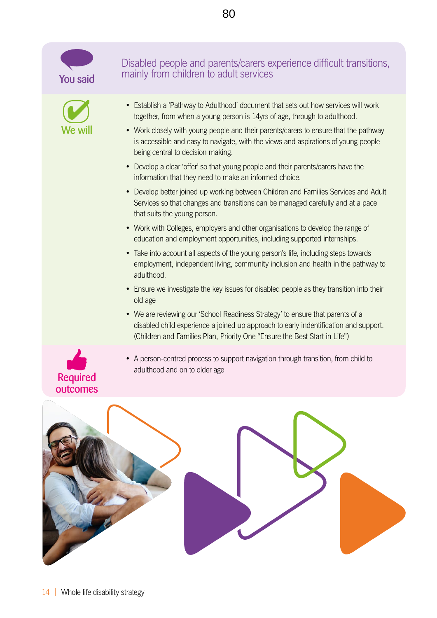

- Develop a clear 'offer' so that young people and their parents/carers have the information that they need to make an informed choice.
- Develop better joined up working between Children and Families Services and Adult Services so that changes and transitions can be managed carefully and at a pace that suits the young person.
- Work with Colleges, employers and other organisations to develop the range of education and employment opportunities, including supported internships.
- Take into account all aspects of the young person's life, including steps towards employment, independent living, community inclusion and health in the pathway to adulthood.
- Ensure we investigate the key issues for disabled people as they transition into their old age
- We are reviewing our 'School Readiness Strategy' to ensure that parents of a disabled child experience a joined up approach to early indentification and support. (Children and Families Plan, Priority One "Ensure the Best Start in Life")
- A person-centred process to support navigation through transition, from child to adulthood and on to older age



Required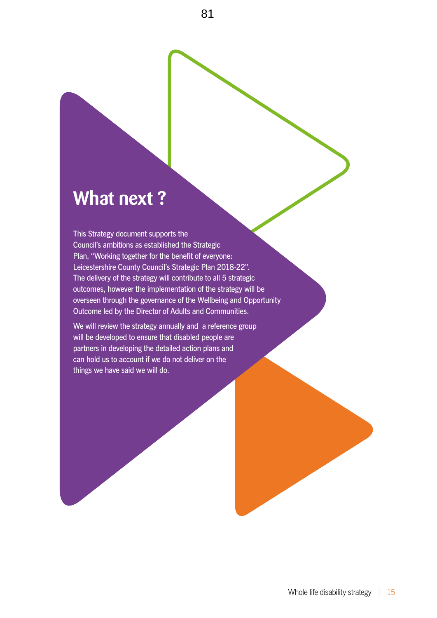### **What next ?**

This Strategy document supports the Council's ambitions as established the Strategic Plan, "Working together for the benefit of everyone: Leicestershire County Council's Strategic Plan 2018-22". The delivery of the strategy will contribute to all 5 strategic outcomes, however the implementation of the strategy will be overseen through the governance of the Wellbeing and Opportunity Outcome led by the Director of Adults and Communities.

We will review the strategy annually and a reference group will be developed to ensure that disabled people are partners in developing the detailed action plans and can hold us to account if we do not deliver on the things we have said we will do.

<span id="page-14-0"></span>81